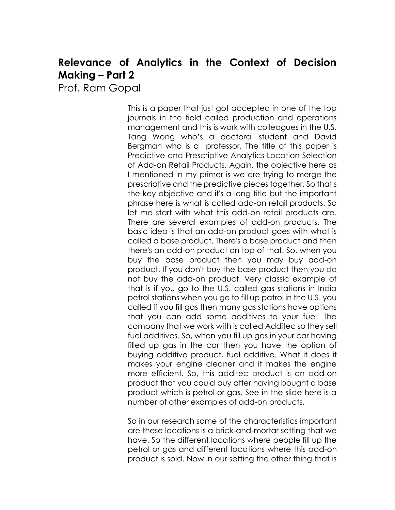## **Relevance of Analytics in the Context of Decision Making – Part 2**

Prof. Ram Gopal

This is a paper that just got accepted in one of the top journals in the field called production and operations management and this is work with colleagues in the U.S. Tang Wong who's a doctoral student and David Bergman who is a professor. The title of this paper is Predictive and Prescriptive Analytics Location Selection of Add-on Retail Products. Again, the objective here as I mentioned in my primer is we are trying to merge the prescriptive and the predictive pieces together. So that's the key objective and it's a long title but the important phrase here is what is called add-on retail products. So let me start with what this add-on retail products are. There are several examples of add-on products. The basic idea is that an add-on product goes with what is called a base product. There's a base product and then there's an add-on product on top of that. So, when you buy the base product then you may buy add-on product. If you don't buy the base product then you do not buy the add-on product. Very classic example of that is if you go to the U.S. called gas stations in India petrol stations when you go to fill up patrol in the U.S. you called if you fill gas then many gas stations have options that you can add some additives to your fuel. The company that we work with is called Additec so they sell fuel additives. So, when you fill up gas in your car having filled up gas in the car then you have the option of buying additive product, fuel additive. What it does it makes your engine cleaner and it makes the engine more efficient. So, this additec product is an add-on product that you could buy after having bought a base product which is petrol or gas. See in the slide here is a number of other examples of add-on products.

So in our research some of the characteristics important are these locations is a brick-and-mortar setting that we have. So the different locations where people fill up the petrol or gas and different locations where this add-on product is sold. Now in our setting the other thing that is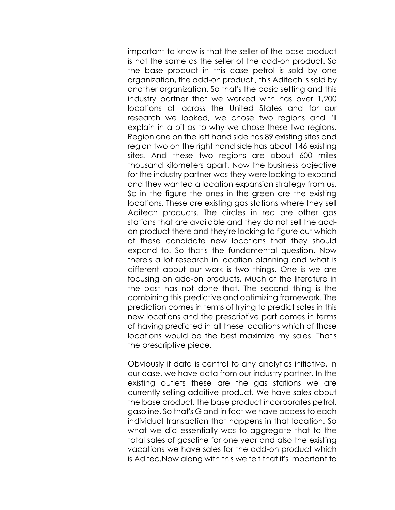important to know is that the seller of the base product is not the same as the seller of the add-on product. So the base product in this case petrol is sold by one organization, the add-on product , this Aditech is sold by another organization. So that's the basic setting and this industry partner that we worked with has over 1,200 locations all across the United States and for our research we looked, we chose two regions and I'll explain in a bit as to why we chose these two regions. Region one on the left hand side has 89 existing sites and region two on the right hand side has about 146 existing sites. And these two regions are about 600 miles thousand kilometers apart. Now the business objective for the industry partner was they were looking to expand and they wanted a location expansion strategy from us. So in the figure the ones in the green are the existing locations. These are existing gas stations where they sell Aditech products. The circles in red are other gas stations that are available and they do not sell the addon product there and they're looking to figure out which of these candidate new locations that they should expand to. So that's the fundamental question. Now there's a lot research in location planning and what is different about our work is two things. One is we are focusing on add-on products. Much of the literature in the past has not done that. The second thing is the combining this predictive and optimizing framework. The prediction comes in terms of trying to predict sales in this new locations and the prescriptive part comes in terms of having predicted in all these locations which of those locations would be the best maximize my sales. That's the prescriptive piece.

Obviously if data is central to any analytics initiative. In our case, we have data from our industry partner. In the existing outlets these are the gas stations we are currently selling additive product. We have sales about the base product, the base product incorporates petrol, gasoline. So that's G and in fact we have access to each individual transaction that happens in that location. So what we did essentially was to aggregate that to the total sales of gasoline for one year and also the existing vacations we have sales for the add-on product which is Aditec.Now along with this we felt that it's important to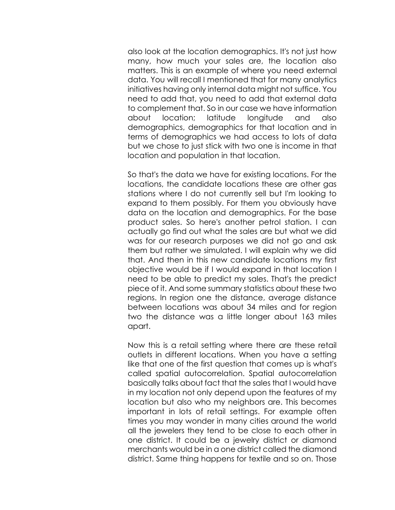also look at the location demographics. It's not just how many, how much your sales are, the location also matters. This is an example of where you need external data. You will recall I mentioned that for many analytics initiatives having only internal data might not suffice. You need to add that, you need to add that external data to complement that. So in our case we have information about location; latitude longitude and also demographics, demographics for that location and in terms of demographics we had access to lots of data but we chose to just stick with two one is income in that location and population in that location.

So that's the data we have for existing locations. For the locations, the candidate locations these are other gas stations where I do not currently sell but I'm looking to expand to them possibly. For them you obviously have data on the location and demographics. For the base product sales. So here's another petrol station. I can actually go find out what the sales are but what we did was for our research purposes we did not go and ask them but rather we simulated. I will explain why we did that. And then in this new candidate locations my first objective would be if I would expand in that location I need to be able to predict my sales. That's the predict piece of it. And some summary statistics about these two regions. In region one the distance, average distance between locations was about 34 miles and for region two the distance was a little longer about 163 miles apart.

Now this is a retail setting where there are these retail outlets in different locations. When you have a setting like that one of the first question that comes up is what's called spatial autocorrelation. Spatial autocorrelation basically talks about fact that the sales that I would have in my location not only depend upon the features of my location but also who my neighbors are. This becomes important in lots of retail settings. For example often times you may wonder in many cities around the world all the jewelers they tend to be close to each other in one district. It could be a jewelry district or diamond merchants would be in a one district called the diamond district. Same thing happens for textile and so on. Those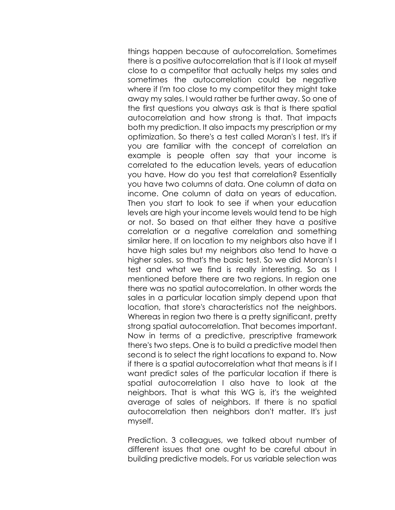things happen because of autocorrelation. Sometimes there is a positive autocorrelation that is if I look at myself close to a competitor that actually helps my sales and sometimes the autocorrelation could be negative where if I'm too close to my competitor they might take away my sales. I would rather be further away. So one of the first questions you always ask is that is there spatial autocorrelation and how strong is that. That impacts both my prediction. It also impacts my prescription or my optimization. So there's a test called Moran's I test. It's if you are familiar with the concept of correlation an example is people often say that your income is correlated to the education levels, years of education you have. How do you test that correlation? Essentially you have two columns of data. One column of data on income. One column of data on years of education. Then you start to look to see if when your education levels are high your income levels would tend to be high or not. So based on that either they have a positive correlation or a negative correlation and something similar here. If on location to my neighbors also have if I have high sales but my neighbors also tend to have a higher sales. so that's the basic test. So we did Moran's I test and what we find is really interesting. So as I mentioned before there are two regions. In region one there was no spatial autocorrelation. In other words the sales in a particular location simply depend upon that location, that store's characteristics not the neighbors. Whereas in region two there is a pretty significant, pretty strong spatial autocorrelation. That becomes important. Now in terms of a predictive, prescriptive framework there's two steps. One is to build a predictive model then second is to select the right locations to expand to. Now if there is a spatial autocorrelation what that means is if I want predict sales of the particular location if there is spatial autocorrelation I also have to look at the neighbors. That is what this WG is, it's the weighted average of sales of neighbors. If there is no spatial autocorrelation then neighbors don't matter. It's just myself.

Prediction. 3 colleagues, we talked about number of different issues that one ought to be careful about in building predictive models. For us variable selection was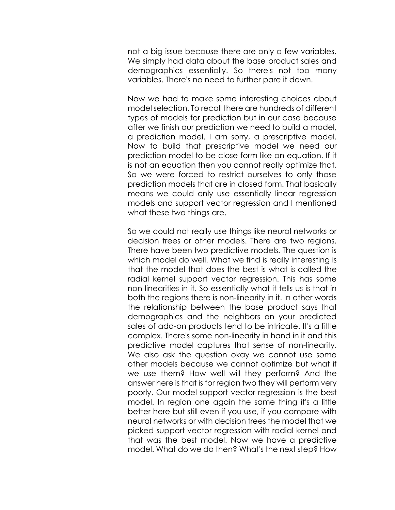not a big issue because there are only a few variables. We simply had data about the base product sales and demographics essentially. So there's not too many variables. There's no need to further pare it down.

Now we had to make some interesting choices about model selection. To recall there are hundreds of different types of models for prediction but in our case because after we finish our prediction we need to build a model, a prediction model. I am sorry, a prescriptive model. Now to build that prescriptive model we need our prediction model to be close form like an equation. If it is not an equation then you cannot really optimize that. So we were forced to restrict ourselves to only those prediction models that are in closed form. That basically means we could only use essentially linear regression models and support vector regression and I mentioned what these two things are.

So we could not really use things like neural networks or decision trees or other models. There are two regions. There have been two predictive models. The question is which model do well. What we find is really interesting is that the model that does the best is what is called the radial kernel support vector regression. This has some non-linearities in it. So essentially what it tells us is that in both the regions there is non-linearity in it. In other words the relationship between the base product says that demographics and the neighbors on your predicted sales of add-on products tend to be intricate. It's a little complex. There's some non-linearity in hand in it and this predictive model captures that sense of non-linearity. We also ask the question okay we cannot use some other models because we cannot optimize but what if we use them? How well will they perform? And the answer here is that is for region two they will perform very poorly. Our model support vector regression is the best model. In region one again the same thing it's a little better here but still even if you use, if you compare with neural networks or with decision trees the model that we picked support vector regression with radial kernel and that was the best model. Now we have a predictive model. What do we do then? What's the next step? How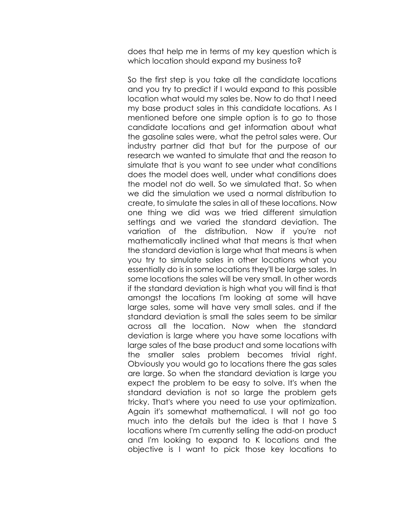does that help me in terms of my key question which is which location should expand my business to?

So the first step is you take all the candidate locations and you try to predict if I would expand to this possible location what would my sales be. Now to do that I need my base product sales in this candidate locations. As I mentioned before one simple option is to go to those candidate locations and get information about what the gasoline sales were, what the petrol sales were. Our industry partner did that but for the purpose of our research we wanted to simulate that and the reason to simulate that is you want to see under what conditions does the model does well, under what conditions does the model not do well. So we simulated that. So when we did the simulation we used a normal distribution to create, to simulate the sales in all of these locations. Now one thing we did was we tried different simulation settings and we varied the standard deviation. The variation of the distribution. Now if you're not mathematically inclined what that means is that when the standard deviation is large what that means is when you try to simulate sales in other locations what you essentially do is in some locations they'll be large sales. In some locations the sales will be very small. In other words if the standard deviation is high what you will find is that amongst the locations I'm looking at some will have large sales, some will have very small sales. and if the standard deviation is small the sales seem to be similar across all the location. Now when the standard deviation is large where you have some locations with large sales of the base product and some locations with the smaller sales problem becomes trivial right. Obviously you would go to locations there the gas sales are large. So when the standard deviation is large you expect the problem to be easy to solve. It's when the standard deviation is not so large the problem gets tricky. That's where you need to use your optimization. Again it's somewhat mathematical. I will not go too much into the details but the idea is that I have S locations where I'm currently selling the add-on product and I'm looking to expand to K locations and the objective is I want to pick those key locations to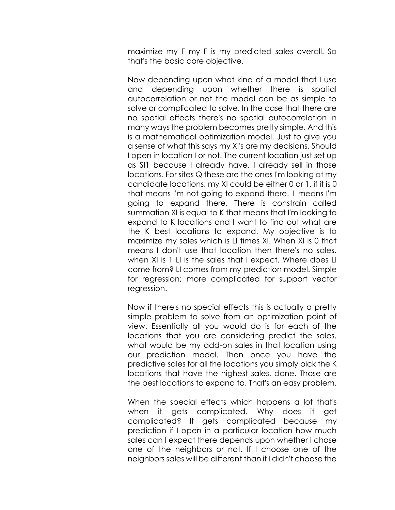maximize my F my F is my predicted sales overall. So that's the basic core objective.

Now depending upon what kind of a model that I use and depending upon whether there is spatial autocorrelation or not the model can be as simple to solve or complicated to solve. In the case that there are no spatial effects there's no spatial autocorrelation in many ways the problem becomes pretty simple. And this is a mathematical optimization model. Just to give you a sense of what this says my XI's are my decisions. Should I open in location I or not. The current location just set up as SI1 because I already have, I already sell in those locations. For sites Q these are the ones I'm looking at my candidate locations, my XI could be either 0 or 1. if it is 0 that means I'm not going to expand there. 1 means I'm going to expand there. There is constrain called summation XI is equal to K that means that I'm looking to expand to K locations and I want to find out what are the K best locations to expand. My objective is to maximize my sales which is LI times XI. When XI is 0 that means I don't use that location then there's no sales. when XI is 1 LI is the sales that I expect. Where does LI come from? LI comes from my prediction model. Simple for regression; more complicated for support vector regression.

Now if there's no special effects this is actually a pretty simple problem to solve from an optimization point of view. Essentially all you would do is for each of the locations that you are considering predict the sales. what would be my add-on sales in that location using our prediction model. Then once you have the predictive sales for all the locations you simply pick the K locations that have the highest sales. done. Those are the best locations to expand to. That's an easy problem.

When the special effects which happens a lot that's when it gets complicated. Why does it get complicated? It gets complicated because my prediction if I open in a particular location how much sales can I expect there depends upon whether I chose one of the neighbors or not. If I choose one of the neighbors sales will be different than if I didn't choose the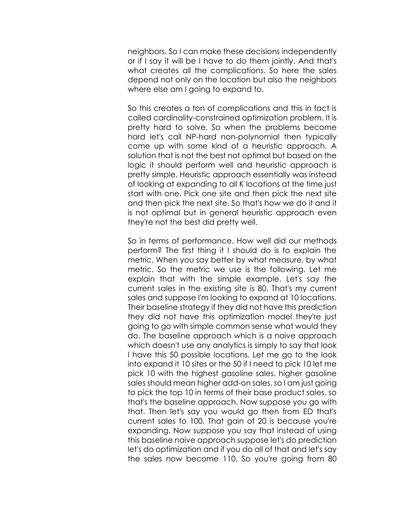neighbors. So I can make these decisions independently or if I say it will be I have to do them jointly. And that's what creates all the complications. So here the sales depend not only on the location but also the neighbors where else am I going to expand to.

So this creates a ton of complications and this in fact is called cardinality-constrained optimization problem. It is pretty hard to solve. So when the problems become hard let's call NP-hard non-polynomial then typically come up with some kind of a heuristic approach. A solution that is not the best not optimal but based on the logic it should perform well and heuristic approach is pretty simple. Heuristic approach essentially was instead of looking at expanding to all K locations at the time just start with one. Pick one site and then pick the next site and then pick the next site. So that's how we do it and it is not optimal but in general heuristic approach even they're not the best did pretty well.

So in terms of performance. How well did our methods perform? The first thing it I should do is to explain the metric. When you say better by what measure, by what metric. So the metric we use is the following. Let me explain that with the simple example. Let's say the current sales in the existing site is 80. That's my current sales and suppose I'm looking to expand at 10 locations. Their baseline strategy if they did not have this prediction they did not have this optimization model they're just going to go with simple common sense what would they do. The baseline approach which is a naive approach which doesn't use any analytics is simply to say that look I have this 50 possible locations. Let me go to the look into expand it 10 sites or the 50 if I need to pick 10 let me pick 10 with the highest gasoline sales. higher gasoline sales should mean higher add-on sales. so I am just going to pick the top 10 in terms of their base product sales. so that's the baseline approach. Now suppose you go with that. Then let's say you would go then from ED that's current sales to 100. That gain of 20 is because you're expanding. Now suppose you say that instead of using this baseline naive approach suppose let's do prediction let's do optimization and if you do all of that and let's say the sales now become 110. So you're going from 80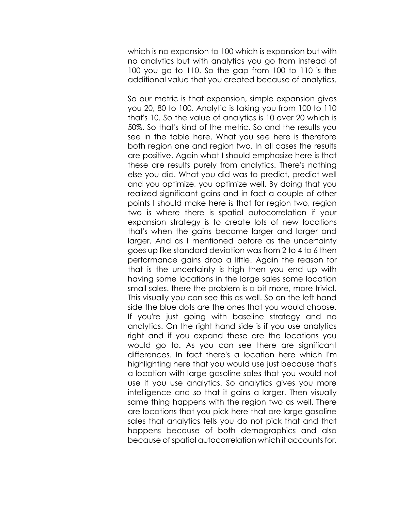which is no expansion to 100 which is expansion but with no analytics but with analytics you go from instead of 100 you go to 110. So the gap from 100 to 110 is the additional value that you created because of analytics.

So our metric is that expansion, simple expansion gives you 20, 80 to 100. Analytic is taking you from 100 to 110 that's 10. So the value of analytics is 10 over 20 which is 50%. So that's kind of the metric. So and the results you see in the table here. What you see here is therefore both region one and region two. In all cases the results are positive. Again what I should emphasize here is that these are results purely from analytics. There's nothing else you did. What you did was to predict, predict well and you optimize, you optimize well. By doing that you realized significant gains and in fact a couple of other points I should make here is that for region two, region two is where there is spatial autocorrelation if your expansion strategy is to create lots of new locations that's when the gains become larger and larger and larger. And as I mentioned before as the uncertainty goes up like standard deviation was from 2 to 4 to 6 then performance gains drop a little. Again the reason for that is the uncertainty is high then you end up with having some locations in the large sales some location small sales. there the problem is a bit more, more trivial. This visually you can see this as well. So on the left hand side the blue dots are the ones that you would choose. If you're just going with baseline strategy and no analytics. On the right hand side is if you use analytics right and if you expand these are the locations you would go to. As you can see there are significant differences. In fact there's a location here which I'm highlighting here that you would use just because that's a location with large gasoline sales that you would not use if you use analytics. So analytics gives you more intelligence and so that it gains a larger. Then visually same thing happens with the region two as well. There are locations that you pick here that are large gasoline sales that analytics tells you do not pick that and that happens because of both demographics and also because of spatial autocorrelation which it accounts for.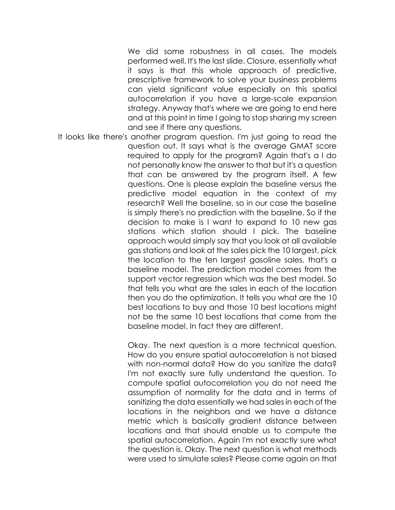We did some robustness in all cases. The models performed well. It's the last slide. Closure, essentially what it says is that this whole approach of predictive, prescriptive framework to solve your business problems can yield significant value especially on this spatial autocorrelation if you have a large-scale expansion strategy. Anyway that's where we are going to end here and at this point in time I going to stop sharing my screen and see if there any questions.

It looks like there's another program question. I'm just going to read the question out. It says what is the average GMAT score required to apply for the program? Again that's a I do not personally know the answer to that but it's a question that can be answered by the program itself. A few questions. One is please explain the baseline versus the predictive model equation in the context of my research? Well the baseline, so in our case the baseline is simply there's no prediction with the baseline. So if the decision to make is I want to expand to 10 new gas stations which station should I pick. The baseline approach would simply say that you look at all available gas stations and look at the sales pick the 10 largest, pick the location to the ten largest gasoline sales. that's a baseline model. The prediction model comes from the support vector regression which was the best model. So that tells you what are the sales in each of the location then you do the optimization. It tells you what are the 10 best locations to buy and those 10 best locations might not be the same 10 best locations that come from the baseline model. In fact they are different.

> Okay. The next question is a more technical question. How do you ensure spatial autocorrelation is not biased with non-normal data? How do you sanitize the data? I'm not exactly sure fully understand the question. To compute spatial autocorrelation you do not need the assumption of normality for the data and in terms of sanitizing the data essentially we had sales in each of the locations in the neighbors and we have a distance metric which is basically gradient distance between locations and that should enable us to compute the spatial autocorrelation. Again I'm not exactly sure what the question is. Okay. The next question is what methods were used to simulate sales? Please come again on that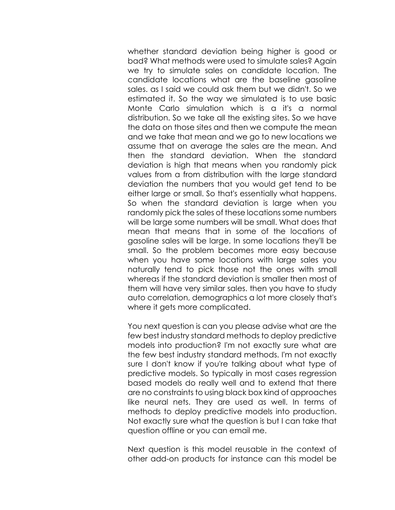whether standard deviation being higher is good or bad? What methods were used to simulate sales? Again we try to simulate sales on candidate location. The candidate locations what are the baseline gasoline sales. as I said we could ask them but we didn't. So we estimated it. So the way we simulated is to use basic Monte Carlo simulation which is a it's a normal distribution. So we take all the existing sites. So we have the data on those sites and then we compute the mean and we take that mean and we go to new locations we assume that on average the sales are the mean. And then the standard deviation. When the standard deviation is high that means when you randomly pick values from a from distribution with the large standard deviation the numbers that you would get tend to be either large or small. So that's essentially what happens. So when the standard deviation is large when you randomly pick the sales of these locations some numbers will be large some numbers will be small. What does that mean that means that in some of the locations of gasoline sales will be large. In some locations they'll be small. So the problem becomes more easy because when you have some locations with large sales you naturally tend to pick those not the ones with small whereas if the standard deviation is smaller then most of them will have very similar sales. then you have to study auto correlation, demographics a lot more closely that's where it gets more complicated.

You next question is can you please advise what are the few best industry standard methods to deploy predictive models into production? I'm not exactly sure what are the few best industry standard methods. I'm not exactly sure I don't know if you're talking about what type of predictive models. So typically in most cases regression based models do really well and to extend that there are no constraints to using black box kind of approaches like neural nets. They are used as well. In terms of methods to deploy predictive models into production. Not exactly sure what the question is but I can take that question offline or you can email me.

Next question is this model reusable in the context of other add-on products for instance can this model be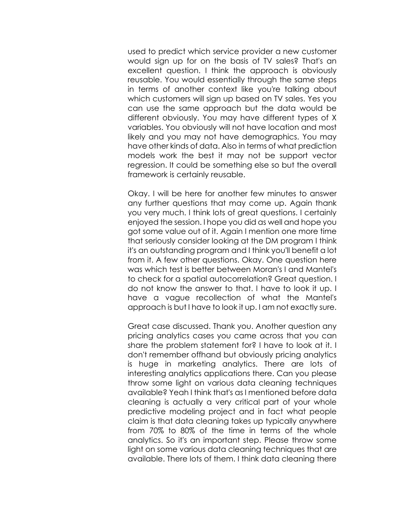used to predict which service provider a new customer would sign up for on the basis of TV sales? That's an excellent question. I think the approach is obviously reusable. You would essentially through the same steps in terms of another context like you're talking about which customers will sign up based on TV sales. Yes you can use the same approach but the data would be different obviously. You may have different types of X variables. You obviously will not have location and most likely and you may not have demographics. You may have other kinds of data. Also in terms of what prediction models work the best it may not be support vector regression. It could be something else so but the overall framework is certainly reusable.

Okay. I will be here for another few minutes to answer any further questions that may come up. Again thank you very much. I think lots of great questions. I certainly enjoyed the session. I hope you did as well and hope you got some value out of it. Again I mention one more time that seriously consider looking at the DM program I think it's an outstanding program and I think you'll benefit a lot from it. A few other questions. Okay. One question here was which test is better between Moran's I and Mantel's to check for a spatial autocorrelation? Great question. I do not know the answer to that. I have to look it up. I have a vague recollection of what the Mantel's approach is but I have to look it up. I am not exactly sure.

Great case discussed. Thank you. Another question any pricing analytics cases you came across that you can share the problem statement for? I have to look at it. I don't remember offhand but obviously pricing analytics is huge in marketing analytics. There are lots of interesting analytics applications there. Can you please throw some light on various data cleaning techniques available? Yeah I think that's as I mentioned before data cleaning is actually a very critical part of your whole predictive modeling project and in fact what people claim is that data cleaning takes up typically anywhere from 70% to 80% of the time in terms of the whole analytics. So it's an important step. Please throw some light on some various data cleaning techniques that are available. There lots of them. I think data cleaning there